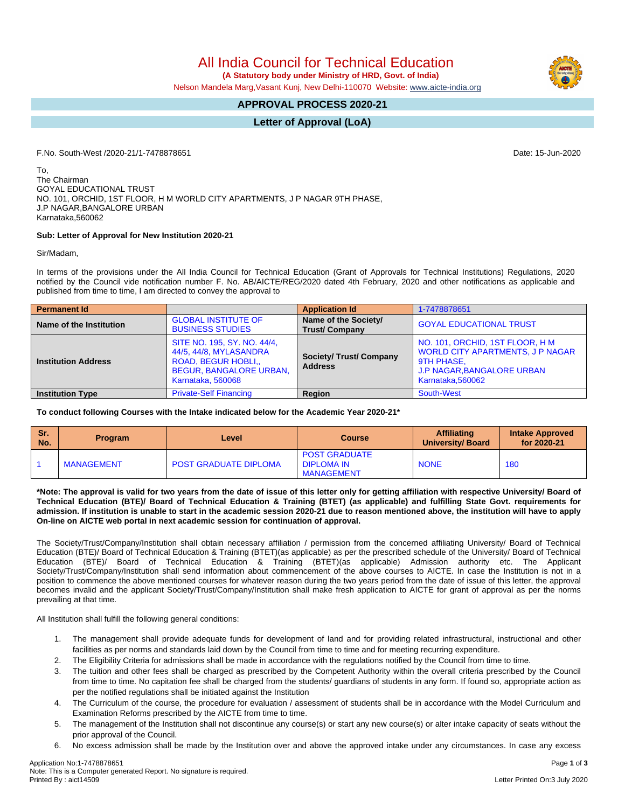All India Council for Technical Education

 **(A Statutory body under Ministry of HRD, Govt. of India)**

Nelson Mandela Marg,Vasant Kunj, New Delhi-110070 Website: [www.aicte-india.org](http://www.aicte-india.org)

## **APPROVAL PROCESS 2020-21**

## **Letter of Approval (LoA)**

F.No. South-West /2020-21/1-7478878651 Date: 15-Jun-2020

To, The Chairman GOYAL EDUCATIONAL TRUST NO. 101, ORCHID, 1ST FLOOR, H M WORLD CITY APARTMENTS, J P NAGAR 9TH PHASE, J.P NAGAR,BANGALORE URBAN Karnataka,560062

## **Sub: Letter of Approval for New Institution 2020-21**

Sir/Madam,

In terms of the provisions under the All India Council for Technical Education (Grant of Approvals for Technical Institutions) Regulations, 2020 notified by the Council vide notification number F. No. AB/AICTE/REG/2020 dated 4th February, 2020 and other notifications as applicable and published from time to time, I am directed to convey the approval to

| <b>Permanent Id</b>        |                                                                                                                                   | <b>Application Id</b>                        | 1-7478878651                                                                                                                                      |  |  |
|----------------------------|-----------------------------------------------------------------------------------------------------------------------------------|----------------------------------------------|---------------------------------------------------------------------------------------------------------------------------------------------------|--|--|
| Name of the Institution    | <b>GLOBAL INSTITUTE OF</b><br><b>BUSINESS STUDIES</b>                                                                             | Name of the Society/<br><b>Trust/Company</b> | <b>GOYAL EDUCATIONAL TRUST</b>                                                                                                                    |  |  |
| <b>Institution Address</b> | SITE NO. 195, SY. NO. 44/4,<br>44/5, 44/8, MYLASANDRA<br>ROAD, BEGUR HOBLI<br><b>BEGUR, BANGALORE URBAN,</b><br>Karnataka, 560068 | Society/ Trust/ Company<br><b>Address</b>    | NO. 101, ORCHID, 1ST FLOOR, H M<br><b>WORLD CITY APARTMENTS, J P NAGAR</b><br>9TH PHASE.<br><b>J.P NAGAR, BANGALORE URBAN</b><br>Karnataka.560062 |  |  |
| <b>Institution Type</b>    | <b>Private-Self Financing</b>                                                                                                     | Region                                       | South-West                                                                                                                                        |  |  |

**To conduct following Courses with the Intake indicated below for the Academic Year 2020-21\***

| <b>Sn</b><br>No. | <b>Program</b>    | ∟evel                        | <b>Course</b>                                                  | <b>Affiliating</b><br><b>University/Board</b> | <b>Intake Approved</b><br>for 2020-21 |
|------------------|-------------------|------------------------------|----------------------------------------------------------------|-----------------------------------------------|---------------------------------------|
|                  | <b>MANAGEMENT</b> | <b>POST GRADUATE DIPLOMA</b> | <b>POST GRADUATE</b><br><b>DIPLOMA IN</b><br><b>MANAGEMENT</b> | <b>NONE</b>                                   | 180                                   |

\*Note: The approval is valid for two years from the date of issue of this letter only for getting affiliation with respective University/ Board of Technical Education (BTE)/ Board of Technical Education & Training (BTET) (as applicable) and fulfilling State Govt. requirements for admission. If institution is unable to start in the academic session 2020-21 due to reason mentioned above, the institution will have to apply **On-line on AICTE web portal in next academic session for continuation of approval.**

The Society/Trust/Company/Institution shall obtain necessary affiliation / permission from the concerned affiliating University/ Board of Technical Education (BTE)/ Board of Technical Education & Training (BTET)(as applicable) as per the prescribed schedule of the University/ Board of Technical Education (BTE)/ Board of Technical Education & Training (BTET)(as applicable) Admission authority etc. The Applicant Society/Trust/Company/Institution shall send information about commencement of the above courses to AICTE. In case the Institution is not in a position to commence the above mentioned courses for whatever reason during the two years period from the date of issue of this letter, the approval becomes invalid and the applicant Society/Trust/Company/Institution shall make fresh application to AICTE for grant of approval as per the norms prevailing at that time.

All Institution shall fulfill the following general conditions:

- 1. The management shall provide adequate funds for development of land and for providing related infrastructural, instructional and other facilities as per norms and standards laid down by the Council from time to time and for meeting recurring expenditure.
- 2. The Eligibility Criteria for admissions shall be made in accordance with the regulations notified by the Council from time to time.
- 3. The tuition and other fees shall be charged as prescribed by the Competent Authority within the overall criteria prescribed by the Council from time to time. No capitation fee shall be charged from the students/ guardians of students in any form. If found so, appropriate action as per the notified regulations shall be initiated against the Institution
- 4. The Curriculum of the course, the procedure for evaluation / assessment of students shall be in accordance with the Model Curriculum and Examination Reforms prescribed by the AICTE from time to time.
- 5. The management of the Institution shall not discontinue any course(s) or start any new course(s) or alter intake capacity of seats without the prior approval of the Council.
- 6. No excess admission shall be made by the Institution over and above the approved intake under any circumstances. In case any excess

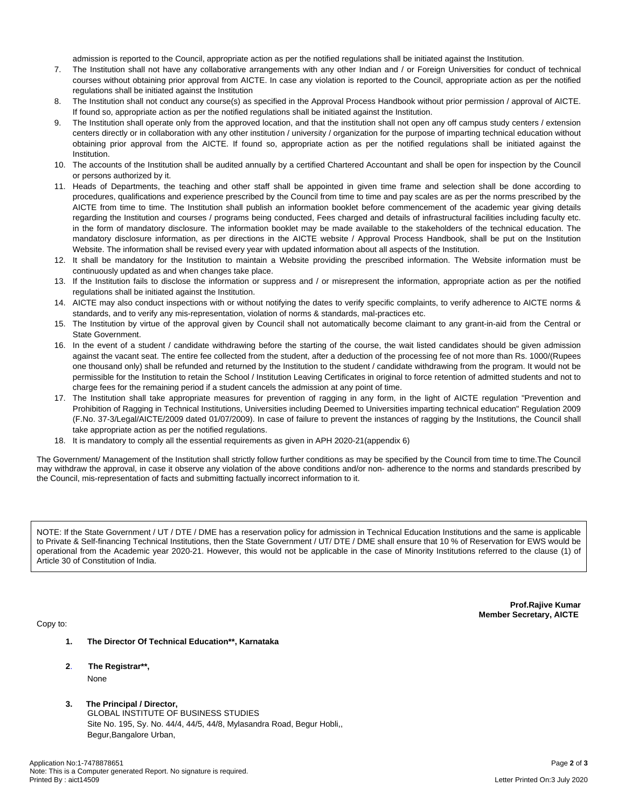admission is reported to the Council, appropriate action as per the notified regulations shall be initiated against the Institution.

- 7. The Institution shall not have any collaborative arrangements with any other Indian and / or Foreign Universities for conduct of technical courses without obtaining prior approval from AICTE. In case any violation is reported to the Council, appropriate action as per the notified regulations shall be initiated against the Institution
- 8. The Institution shall not conduct any course(s) as specified in the Approval Process Handbook without prior permission / approval of AICTE. If found so, appropriate action as per the notified regulations shall be initiated against the Institution.
- 9. The Institution shall operate only from the approved location, and that the institution shall not open any off campus study centers / extension centers directly or in collaboration with any other institution / university / organization for the purpose of imparting technical education without obtaining prior approval from the AICTE. If found so, appropriate action as per the notified regulations shall be initiated against the Institution.
- 10. The accounts of the Institution shall be audited annually by a certified Chartered Accountant and shall be open for inspection by the Council or persons authorized by it.
- 11. Heads of Departments, the teaching and other staff shall be appointed in given time frame and selection shall be done according to procedures, qualifications and experience prescribed by the Council from time to time and pay scales are as per the norms prescribed by the AICTE from time to time. The Institution shall publish an information booklet before commencement of the academic year giving details regarding the Institution and courses / programs being conducted, Fees charged and details of infrastructural facilities including faculty etc. in the form of mandatory disclosure. The information booklet may be made available to the stakeholders of the technical education. The mandatory disclosure information, as per directions in the AICTE website / Approval Process Handbook, shall be put on the Institution Website. The information shall be revised every year with updated information about all aspects of the Institution.
- 12. It shall be mandatory for the Institution to maintain a Website providing the prescribed information. The Website information must be continuously updated as and when changes take place.
- 13. If the Institution fails to disclose the information or suppress and / or misrepresent the information, appropriate action as per the notified regulations shall be initiated against the Institution.
- 14. AICTE may also conduct inspections with or without notifying the dates to verify specific complaints, to verify adherence to AICTE norms & standards, and to verify any mis-representation, violation of norms & standards, mal-practices etc.
- 15. The Institution by virtue of the approval given by Council shall not automatically become claimant to any grant-in-aid from the Central or State Government.
- 16. In the event of a student / candidate withdrawing before the starting of the course, the wait listed candidates should be given admission against the vacant seat. The entire fee collected from the student, after a deduction of the processing fee of not more than Rs. 1000/(Rupees one thousand only) shall be refunded and returned by the Institution to the student / candidate withdrawing from the program. It would not be permissible for the Institution to retain the School / Institution Leaving Certificates in original to force retention of admitted students and not to charge fees for the remaining period if a student cancels the admission at any point of time.
- 17. The Institution shall take appropriate measures for prevention of ragging in any form, in the light of AICTE regulation "Prevention and Prohibition of Ragging in Technical Institutions, Universities including Deemed to Universities imparting technical education" Regulation 2009 (F.No. 37-3/Legal/AICTE/2009 dated 01/07/2009). In case of failure to prevent the instances of ragging by the Institutions, the Council shall take appropriate action as per the notified regulations.
- 18. It is mandatory to comply all the essential requirements as given in APH 2020-21(appendix 6)

The Government/ Management of the Institution shall strictly follow further conditions as may be specified by the Council from time to time.The Council may withdraw the approval, in case it observe any violation of the above conditions and/or non- adherence to the norms and standards prescribed by the Council, mis-representation of facts and submitting factually incorrect information to it.

NOTE: If the State Government / UT / DTE / DME has a reservation policy for admission in Technical Education Institutions and the same is applicable to Private & Self-financing Technical Institutions, then the State Government / UT/ DTE / DME shall ensure that 10 % of Reservation for EWS would be operational from the Academic year 2020-21. However, this would not be applicable in the case of Minority Institutions referred to the clause (1) of Article 30 of Constitution of India.

> **Prof.Rajive Kumar Member Secretary, AICTE**

Copy to:

- **1. The Director Of Technical Education\*\*, Karnataka**
- **2**. **The Registrar\*\*,** None
- **3. The Principal / Director,** GLOBAL INSTITUTE OF BUSINESS STUDIES Site No. 195, Sy. No. 44/4, 44/5, 44/8, Mylasandra Road, Begur Hobli,, Begur,Bangalore Urban,